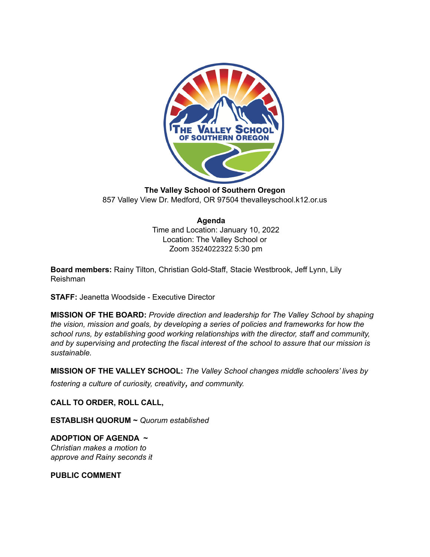

**The Valley School of Southern Oregon** 857 Valley View Dr. Medford, OR 97504 thevalleyschool.k12.or.us

# **Agenda**

Time and Location: January 10, 2022 Location: The Valley School or Zoom 3524022322 5:30 pm

**Board members:** Rainy Tilton, Christian Gold-Staff, Stacie Westbrook, Jeff Lynn, Lily Reishman

**STAFF:** Jeanetta Woodside - Executive Director

**MISSION OF THE BOARD:** *Provide direction and leadership for The Valley School by shaping the vision, mission and goals, by developing a series of policies and frameworks for how the school runs, by establishing good working relationships with the director, staff and community, and by supervising and protecting the fiscal interest of the school to assure that our mission is sustainable.*

**MISSION OF THE VALLEY SCHOOL:** *The Valley School changes middle schoolers' lives by*

*fostering <sup>a</sup> culture of curiosity, creativity, and community.*

**CALL TO ORDER, ROLL CALL,**

**ESTABLISH QUORUM ~** *Quorum established*

**ADOPTION OF AGENDA ~** *Christian makes a motion to approve and Rainy seconds it*

**PUBLIC COMMENT**